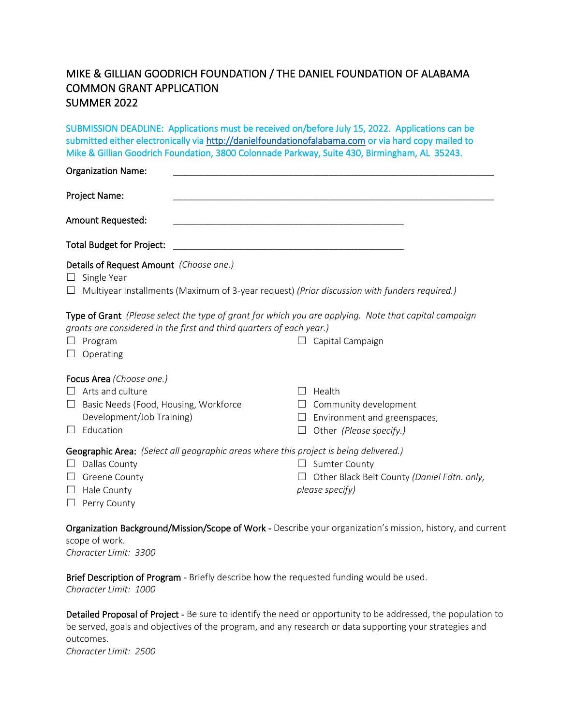## MIKE & GILLIAN GOODRICH FOUNDATION / THE DANIEL FOUNDATION OF ALABAMA COMMON GRANT APPLICATION SUMMER 2022

SUBMISSION DEADLINE: Applications must be received on/before July 15, 2022. Applications can be submitted either electronically via [http://danielfoundationofalabama.com](http://danielfoundationofalabama.com/how-to-apply/) or via hard copy mailed to Mike & Gillian Goodrich Foundation, 3800 Colonnade Parkway, Suite 430, Birmingham, AL 35243.

| <b>Organization Name:</b>                                                                                                                                                                                                                      |                                                                                                     |        |
|------------------------------------------------------------------------------------------------------------------------------------------------------------------------------------------------------------------------------------------------|-----------------------------------------------------------------------------------------------------|--------|
| Project Name:                                                                                                                                                                                                                                  |                                                                                                     |        |
| <b>Amount Requested:</b>                                                                                                                                                                                                                       |                                                                                                     |        |
| Total Budget for Project:                                                                                                                                                                                                                      |                                                                                                     |        |
| Details of Request Amount (Choose one.)<br>$\Box$ Single Year                                                                                                                                                                                  | $\Box$ Multiyear Installments (Maximum of 3-year request) (Prior discussion with funders required.) |        |
| <b>Type of Grant</b> (Please select the type of grant for which you are applying. Note that capital campaign<br>grants are considered in the first and third quarters of each year.)<br>$\Box$ Program<br>Capital Campaign<br>$\Box$ Operating |                                                                                                     |        |
| Focus Area (Choose one.)<br>$\Box$ Arts and culture                                                                                                                                                                                            |                                                                                                     | Health |

- ☐ Basic Needs (Food, Housing, Workforce Development/Job Training)
- □ Education

 $\Box$  Community development

□ Sumter County

*please specify)*

 $\Box$  Environment and greenspaces,

☐ Other Black Belt County *(Daniel Fdtn. only,* 

☐ Other *(Please specify.)*

## Geographic Area: *(Select all geographic areas where this project is being delivered.)*

- □ Dallas County
- □ Greene County
- □ Hale County
- ☐ Perry County

Organization Background/Mission/Scope of Work - Describe your organization's mission, history, and current scope of work.

*Character Limit: 3300*

Brief Description of Program - Briefly describe how the requested funding would be used. *Character Limit: 1000*

Detailed Proposal of Project - Be sure to identify the need or opportunity to be addressed, the population to be served, goals and objectives of the program, and any research or data supporting your strategies and outcomes.

*Character Limit: 2500*